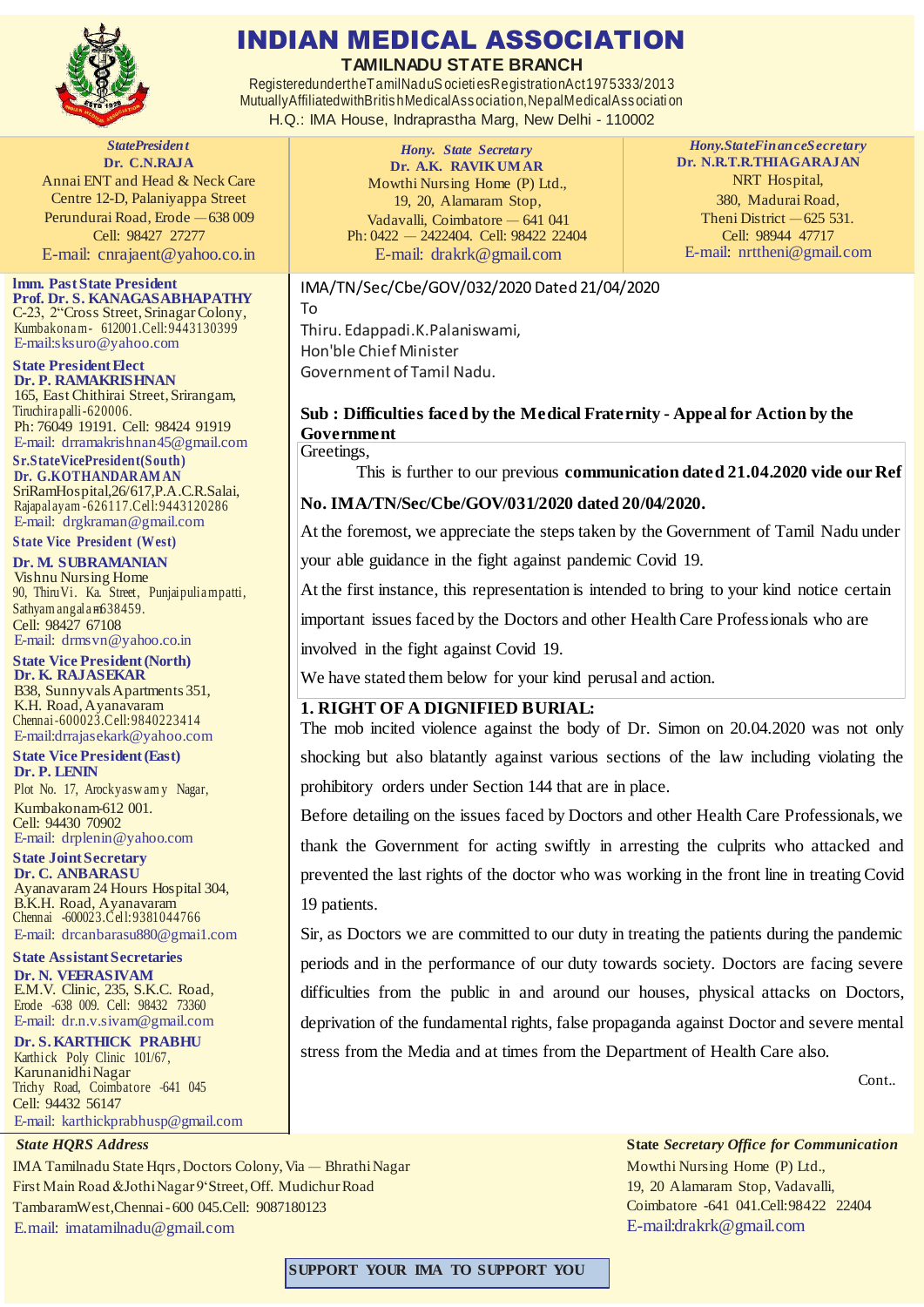

# INDIAN MEDICAL ASSOCIATION

**TAMILNADU STATE BRANCH**

RegisteredundertheTamilNaduS ocieti esRegistrationAct1975333/2013 MutuallyAffiliatedwithBritis hMedicalAss ociation,NepalMedicalAss ociati on H.Q.: IMA House, Indraprastha Marg, New Delhi - 110002

*StatePresident* **Dr. C.N.RAJA** Annai ENT and Head & Neck Care Centre 12-D, Palaniyappa Street Perundurai Road, Erode —638 009 Cell: 98427 27277 E-mail: [cnrajaent@yahoo.co.in](mailto:cnrajaent@yahoo.co.in)

**lmm. Past State President Prof. Dr. S. KANAGASABHAPATHY** C-23, 2"Cross Street, Srinagar Colony, Kumbakona m- 612001.Cell:9443130399 E-mail[:sksuro@yahoo.com](mailto:sksuro@yahoo.com)

**State President Elect Dr. P. RAMAKRISHNAN** 165, East Chithirai Street, Srirangam, Tiruchira palli-620006. Ph: 76049 19191. Cell: 98424 91919 E-mail: [drramakrishnan45@gmail.com](mailto:drramakrishnan45@gmail.com)

**Sr.StateVicePresident(South) Dr. G.KOTHANDARAM AN** SriRamHospital,26/617,P.A.C.R.Salai, Rajapalayam -626117.Cell:9443120286 E-mail: [drgkraman@gmail.com](mailto:drgkraman@gmail.com)

**State Vice President (West)**

**Dr. M. SUBRAMANIAN** Vishnu Nursing Home 90, ThiruVi. Ka. Street, Punjaipulia mpatti, Sathyam angalam638459. Cell: 98427 67108 E-mail: [drmsvn@yahoo.co.in](mailto:drmsvn@yahoo.co.in)

**State Vice President (North) Dr. K. RAJASEKAR** B38, Sunnyvals Apartments 351, K.H. Road, Ayanavaram Chennai-600023.Cell:9840223414

#### E-mail[:drrajasekark@yahoo.com](mailto:drrajasekark@yahoo.com) **State Vice President (East)**

**Dr. P. LENIN** Plot No. 17, Arockyasw am y Nagar, Kumbakonam-612 001. Cell: 94430 70902 E-mail: [drplenin@yahoo.com](mailto:drplenin@yahoo.com)

**State Joint Secretary Dr. C. ANBARASU** Ayanavaram 24 Hours Hospital 304, B.K.H. Road, Ayanavaram Chennai -600023.Cell:9381044766 E-mail: [drcanbarasu880@gmai1.com](mailto:drcanbarasu880@gmai1.com)

**State Assistant Secretaries Dr. N. VEERASIVAM** E.M.V. Clinic, 235, S.K.C. Road, Erode -638 009. Cell: 98432 73360 E-mail: [dr.n.v.sivam@gmail.com](mailto:dr.n.v.sivam@gmail.com)

**Dr. S. KARTHICK PRABHU** Karthick Poly Clinic 101/67, Karunanidhi Nagar Trichy Road, Coimbatore -641 045 Cell: 94432 56147 E-mail: [karthickprabhusp@gmail.com](mailto:karthickprabhusp@gmail.com)

#### *State HQRS Address*

IMA Tamilnadu State Hqrs, Doctors Colony, Via — Bhrathi Nagar First Main Road &Jothi Nagar 9'Street, Off. Mudichur Road TambaramWest,Chennai - 600 045.Cell: 9087180123 E.mail: [imatamilnadu@gmail.com](mailto:imatamilnadu@gmail.com)

*Hony. State Secretary* **Dr. A.K. RAVIK UM AR** Mowthi Nursing Home (P) Ltd., 19, 20, Alamaram Stop, Vadavalli, Coimbatore — 641 041 Ph: 0422 — 2422404. Cell: 98422 22404 E-mail: [drakrk@gmail.com](mailto:drakrk@gmail.com)

*Hony.StateFinanceSecretary* **Dr. N.R.T.R.THIAGARAJAN** NRT Hospital, 380, Madurai Road, Theni District —625 531. Cell: 98944 47717 E-mail: [nrttheni@gmail.com](mailto:nrttheni@gmail.com)

IMA/TN/Sec/Cbe/GOV/032/2020 Dated 21/04/2020 To Thiru. Edappadi.K.Palaniswami, Hon'ble Chief Minister Government of Tamil Nadu.

#### **Sub : Difficulties faced by the Medical Fraternity - Appeal for Action by the Government** Greetings,

This is further to our previous **communication dated 21.04.2020 vide our Ref** 

# **No. IMA/TN/Sec/Cbe/GOV/031/2020 dated 20/04/2020.**

At the foremost, we appreciate the steps taken by the Government of Tamil Nadu under your able guidance in the fight against pandemic Covid 19.

At the first instance, this representation is intended to bring to your kind notice certain

important issues faced by the Doctors and other Health Care Professionals who are

involved in the fight against Covid 19.

We have stated them below for your kind perusal and action.

## **1. RIGHT OF A DIGNIFIED BURIAL:**

The mob incited violence against the body of Dr. Simon on 20.04.2020 was not only shocking but also blatantly against various sections of the law including violating the prohibitory orders under Section 144 that are in place.

Before detailing on the issues faced by Doctors and other Health Care Professionals, we thank the Government for acting swiftly in arresting the culprits who attacked and prevented the last rights of the doctor who was working in the front line in treating Covid 19 patients.

Sir, as Doctors we are committed to our duty in treating the patients during the pandemic periods and in the performance of our duty towards society. Doctors are facing severe difficulties from the public in and around our houses, physical attacks on Doctors, deprivation of the fundamental rights, false propaganda against Doctor and severe mental stress from the Media and at times from the Department of Health Care also.

**Cont..** 

**State** *Secretary Office for Communication* Mowthi Nursing Home (P) Ltd., 19, 20 Alamaram Stop, Vadavalli, Coimbatore -641 041.Cell:98422 22404 [E-mail:drakrk@gmail.com](mailto:drakrk@gmail.com)

**SUPPORT YOUR IMA TO SUPPORT YOU**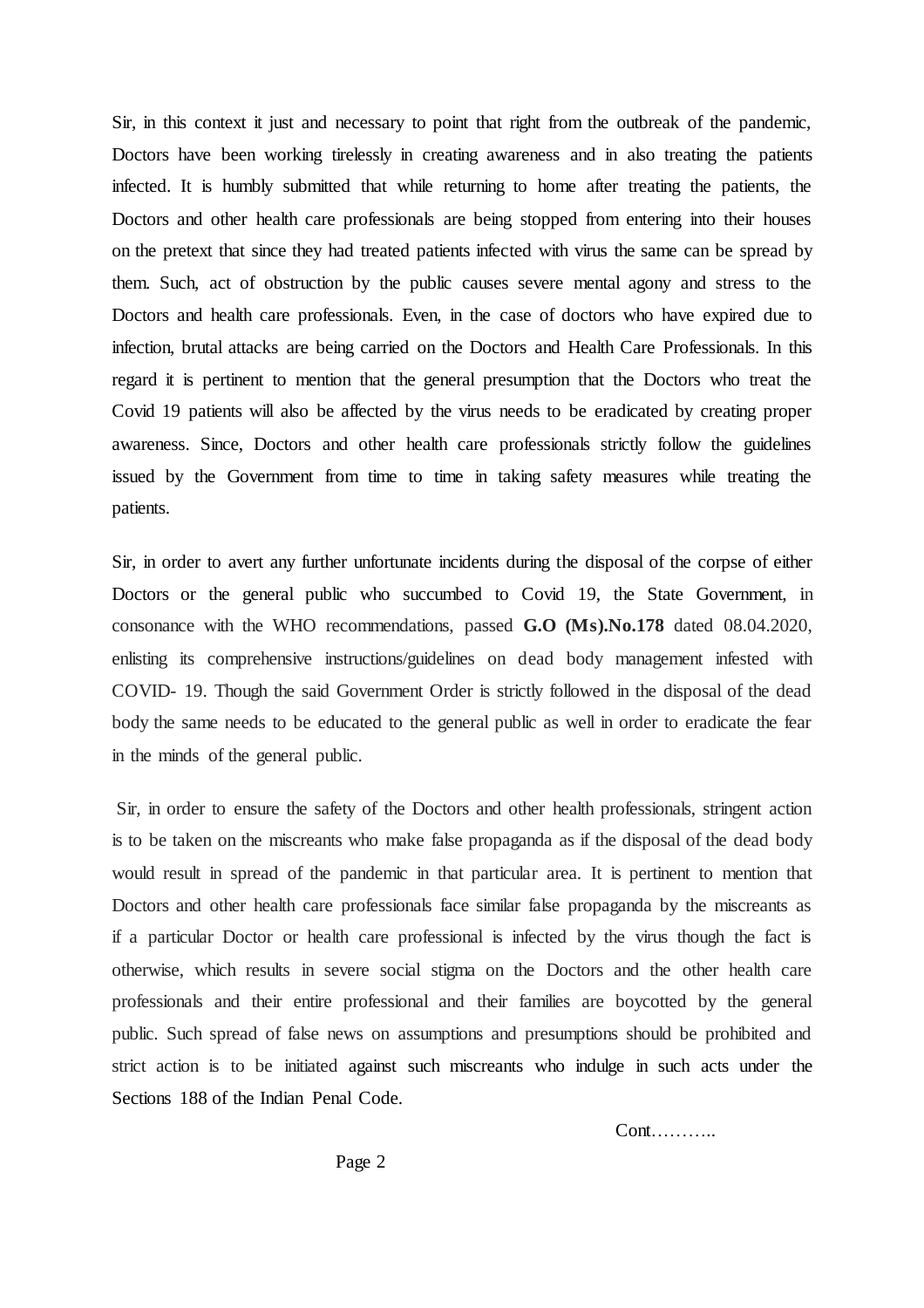Sir, in this context it just and necessary to point that right from the outbreak of the pandemic, Doctors have been working tirelessly in creating awareness and in also treating the patients infected. It is humbly submitted that while returning to home after treating the patients, the Doctors and other health care professionals are being stopped from entering into their houses on the pretext that since they had treated patients infected with virus the same can be spread by them. Such, act of obstruction by the public causes severe mental agony and stress to the Doctors and health care professionals. Even, in the case of doctors who have expired due to infection, brutal attacks are being carried on the Doctors and Health Care Professionals. In this regard it is pertinent to mention that the general presumption that the Doctors who treat the Covid 19 patients will also be affected by the virus needs to be eradicated by creating proper awareness. Since, Doctors and other health care professionals strictly follow the guidelines issued by the Government from time to time in taking safety measures while treating the patients.

Sir, in order to avert any further unfortunate incidents during the disposal of the corpse of either Doctors or the general public who succumbed to Covid 19, the State Government, in consonance with the WHO recommendations, passed **G.O (Ms).No.178** dated 08.04.2020, enlisting its comprehensive instructions/guidelines on dead body management infested with COVID- 19. Though the said Government Order is strictly followed in the disposal of the dead body the same needs to be educated to the general public as well in order to eradicate the fear in the minds of the general public.

Sir, in order to ensure the safety of the Doctors and other health professionals, stringent action is to be taken on the miscreants who make false propaganda as if the disposal of the dead body would result in spread of the pandemic in that particular area. It is pertinent to mention that Doctors and other health care professionals face similar false propaganda by the miscreants as if a particular Doctor or health care professional is infected by the virus though the fact is otherwise, which results in severe social stigma on the Doctors and the other health care professionals and their entire professional and their families are boycotted by the general public. Such spread of false news on assumptions and presumptions should be prohibited and strict action is to be initiated against such miscreants who indulge in such acts under the Sections 188 of the Indian Penal Code.

Cont………..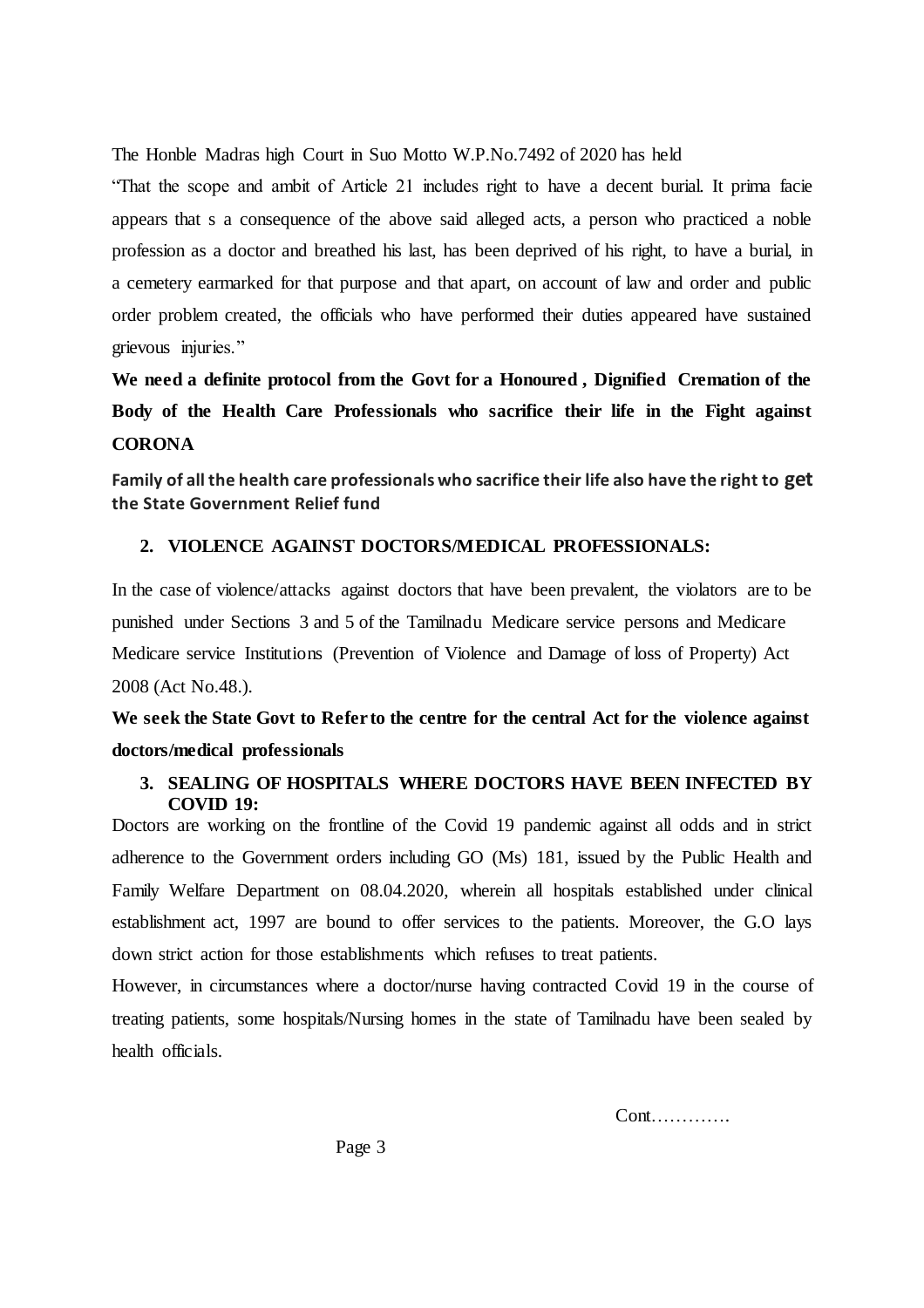The Honble Madras high Court in Suo Motto W.P.No.7492 of 2020 has held

"That the scope and ambit of Article 21 includes right to have a decent burial. It prima facie appears that s a consequence of the above said alleged acts, a person who practiced a noble profession as a doctor and breathed his last, has been deprived of his right, to have a burial, in a cemetery earmarked for that purpose and that apart, on account of law and order and public order problem created, the officials who have performed their duties appeared have sustained grievous injuries."

**We need a definite protocol from the Govt for a Honoured , Dignified Cremation of the Body of the Health Care Professionals who sacrifice their life in the Fight against CORONA**

**Family of all the health care professionals who sacrifice their life also have the right to get the State Government Relief fund** 

## **2. VIOLENCE AGAINST DOCTORS/MEDICAL PROFESSIONALS:**

In the case of violence/attacks against doctors that have been prevalent, the violators are to be punished under Sections 3 and 5 of the Tamilnadu Medicare service persons and Medicare Medicare service Institutions (Prevention of Violence and Damage of loss of Property) Act 2008 (Act No.48.).

# **We seek the State Govt to Refer to the centre for the central Act for the violence against doctors/medical professionals**

## **3. SEALING OF HOSPITALS WHERE DOCTORS HAVE BEEN INFECTED BY COVID 19:**

Doctors are working on the frontline of the Covid 19 pandemic against all odds and in strict adherence to the Government orders including GO (Ms) 181, issued by the Public Health and Family Welfare Department on 08.04.2020, wherein all hospitals established under clinical establishment act, 1997 are bound to offer services to the patients. Moreover, the G.O lays down strict action for those establishments which refuses to treat patients.

However, in circumstances where a doctor/nurse having contracted Covid 19 in the course of treating patients, some hospitals/Nursing homes in the state of Tamilnadu have been sealed by health officials.

Cont………….